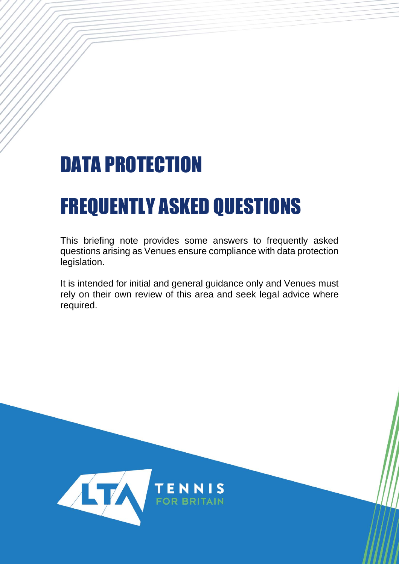## DATA PROTECTION

# FREQUENTLY ASKED QUESTIONS

This briefing note provides some answers to frequently asked questions arising as Venues ensure compliance with data protection legislation.

It is intended for initial and general guidance only and Venues must rely on their own review of this area and seek legal advice where required.

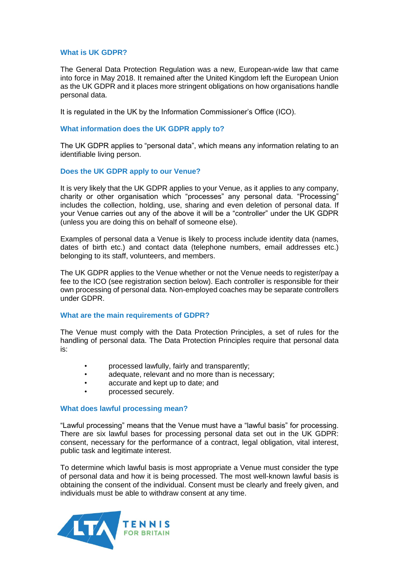## **What is UK GDPR?**

The General Data Protection Regulation was a new, European-wide law that came into force in May 2018. It remained after the United Kingdom left the European Union as the UK GDPR and it places more stringent obligations on how organisations handle personal data.

It is regulated in the UK by the Information Commissioner's Office (ICO).

## **What information does the UK GDPR apply to?**

The UK GDPR applies to "personal data", which means any information relating to an identifiable living person.

## **Does the UK GDPR apply to our Venue?**

It is very likely that the UK GDPR applies to your Venue, as it applies to any company, charity or other organisation which "processes" any personal data. "Processing" includes the collection, holding, use, sharing and even deletion of personal data. If your Venue carries out any of the above it will be a "controller" under the UK GDPR (unless you are doing this on behalf of someone else).

Examples of personal data a Venue is likely to process include identity data (names, dates of birth etc.) and contact data (telephone numbers, email addresses etc.) belonging to its staff, volunteers, and members.

The UK GDPR applies to the Venue whether or not the Venue needs to register/pay a fee to the ICO (see registration section below). Each controller is responsible for their own processing of personal data. Non-employed coaches may be separate controllers under GDPR.

#### **What are the main requirements of GDPR?**

The Venue must comply with the Data Protection Principles, a set of rules for the handling of personal data. The Data Protection Principles require that personal data is:

- processed lawfully, fairly and transparently;
- adequate, relevant and no more than is necessary;
- accurate and kept up to date; and
- processed securely.

#### **What does lawful processing mean?**

"Lawful processing" means that the Venue must have a "lawful basis" for processing. There are six lawful bases for processing personal data set out in the UK GDPR: consent, necessary for the performance of a contract, legal obligation, vital interest, public task and legitimate interest.

To determine which lawful basis is most appropriate a Venue must consider the type of personal data and how it is being processed. The most well-known lawful basis is obtaining the consent of the individual. Consent must be clearly and freely given, and individuals must be able to withdraw consent at any time.

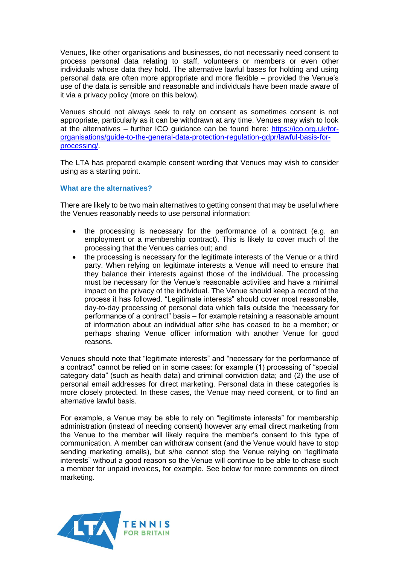Venues, like other organisations and businesses, do not necessarily need consent to process personal data relating to staff, volunteers or members or even other individuals whose data they hold. The alternative lawful bases for holding and using personal data are often more appropriate and more flexible – provided the Venue's use of the data is sensible and reasonable and individuals have been made aware of it via a privacy policy (more on this below).

Venues should not always seek to rely on consent as sometimes consent is not appropriate, particularly as it can be withdrawn at any time. Venues may wish to look at the alternatives – further ICO guidance can be found here: [https://ico.org.uk/for](https://ico.org.uk/for-organisations/guide-to-the-general-data-protection-regulation-gdpr/lawful-basis-for-processing/)[organisations/guide-to-the-general-data-protection-regulation-gdpr/lawful-basis-for](https://ico.org.uk/for-organisations/guide-to-the-general-data-protection-regulation-gdpr/lawful-basis-for-processing/)[processing/.](https://ico.org.uk/for-organisations/guide-to-the-general-data-protection-regulation-gdpr/lawful-basis-for-processing/)

The LTA has prepared example consent wording that Venues may wish to consider using as a starting point.

## **What are the alternatives?**

There are likely to be two main alternatives to getting consent that may be useful where the Venues reasonably needs to use personal information:

- the processing is necessary for the performance of a contract (e.g. an employment or a membership contract). This is likely to cover much of the processing that the Venues carries out; and
- the processing is necessary for the legitimate interests of the Venue or a third party. When relying on legitimate interests a Venue will need to ensure that they balance their interests against those of the individual. The processing must be necessary for the Venue's reasonable activities and have a minimal impact on the privacy of the individual. The Venue should keep a record of the process it has followed. "Legitimate interests" should cover most reasonable, day-to-day processing of personal data which falls outside the "necessary for performance of a contract" basis – for example retaining a reasonable amount of information about an individual after s/he has ceased to be a member; or perhaps sharing Venue officer information with another Venue for good reasons.

Venues should note that "legitimate interests" and "necessary for the performance of a contract" cannot be relied on in some cases: for example (1) processing of "special category data" (such as health data) and criminal conviction data; and (2) the use of personal email addresses for direct marketing. Personal data in these categories is more closely protected. In these cases, the Venue may need consent, or to find an alternative lawful basis.

For example, a Venue may be able to rely on "legitimate interests" for membership administration (instead of needing consent) however any email direct marketing from the Venue to the member will likely require the member's consent to this type of communication. A member can withdraw consent (and the Venue would have to stop sending marketing emails), but s/he cannot stop the Venue relying on "legitimate interests" without a good reason so the Venue will continue to be able to chase such a member for unpaid invoices, for example. See below for more comments on direct marketing.

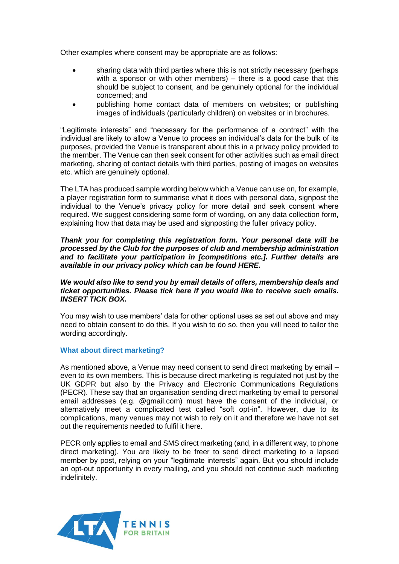Other examples where consent may be appropriate are as follows:

- sharing data with third parties where this is not strictly necessary (perhaps with a sponsor or with other members) – there is a good case that this should be subject to consent, and be genuinely optional for the individual concerned; and
- publishing home contact data of members on websites; or publishing images of individuals (particularly children) on websites or in brochures.

"Legitimate interests" and "necessary for the performance of a contract" with the individual are likely to allow a Venue to process an individual's data for the bulk of its purposes, provided the Venue is transparent about this in a privacy policy provided to the member. The Venue can then seek consent for other activities such as email direct marketing, sharing of contact details with third parties, posting of images on websites etc. which are genuinely optional.

The LTA has produced sample wording below which a Venue can use on, for example, a player registration form to summarise what it does with personal data, signpost the individual to the Venue's privacy policy for more detail and seek consent where required. We suggest considering some form of wording, on any data collection form, explaining how that data may be used and signposting the fuller privacy policy.

## *Thank you for completing this registration form. Your personal data will be processed by the Club for the purposes of club and membership administration and to facilitate your participation in [competitions etc.]. Further details are available in our privacy policy which can be found HERE.*

## *We would also like to send you by email details of offers, membership deals and ticket opportunities. Please tick here if you would like to receive such emails. INSERT TICK BOX.*

You may wish to use members' data for other optional uses as set out above and may need to obtain consent to do this. If you wish to do so, then you will need to tailor the wording accordingly.

## **What about direct marketing?**

As mentioned above, a Venue may need consent to send direct marketing by email – even to its own members. This is because direct marketing is regulated not just by the UK GDPR but also by the Privacy and Electronic Communications Regulations (PECR). These say that an organisation sending direct marketing by email to personal email addresses (e.g. @gmail.com) must have the consent of the individual, or alternatively meet a complicated test called "soft opt-in". However, due to its complications, many venues may not wish to rely on it and therefore we have not set out the requirements needed to fulfil it here.

PECR only applies to email and SMS direct marketing (and, in a different way, to phone direct marketing). You are likely to be freer to send direct marketing to a lapsed member by post, relying on your "legitimate interests" again. But you should include an opt-out opportunity in every mailing, and you should not continue such marketing indefinitely.

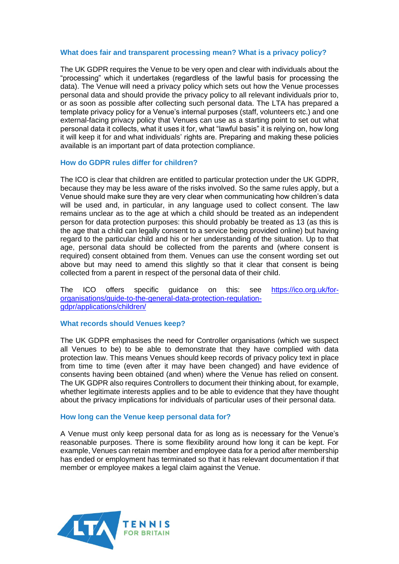#### **What does fair and transparent processing mean? What is a privacy policy?**

The UK GDPR requires the Venue to be very open and clear with individuals about the "processing" which it undertakes (regardless of the lawful basis for processing the data). The Venue will need a privacy policy which sets out how the Venue processes personal data and should provide the privacy policy to all relevant individuals prior to, or as soon as possible after collecting such personal data. The LTA has prepared a template privacy policy for a Venue's internal purposes (staff, volunteers etc.) and one external-facing privacy policy that Venues can use as a starting point to set out what personal data it collects, what it uses it for, what "lawful basis" it is relying on, how long it will keep it for and what individuals' rights are. Preparing and making these policies available is an important part of data protection compliance.

#### **How do GDPR rules differ for children?**

The ICO is clear that children are entitled to particular protection under the UK GDPR, because they may be less aware of the risks involved. So the same rules apply, but a Venue should make sure they are very clear when communicating how children's data will be used and, in particular, in any language used to collect consent. The law remains unclear as to the age at which a child should be treated as an independent person for data protection purposes: this should probably be treated as 13 (as this is the age that a child can legally consent to a service being provided online) but having regard to the particular child and his or her understanding of the situation. Up to that age, personal data should be collected from the parents and (where consent is required) consent obtained from them. Venues can use the consent wording set out above but may need to amend this slightly so that it clear that consent is being collected from a parent in respect of the personal data of their child.

The ICO offers specific guidance on this: see [https://ico.org.uk/for](https://ico.org.uk/for-organisations/guide-to-the-general-data-protection-regulation-gdpr/applications/children/)[organisations/guide-to-the-general-data-protection-regulation](https://ico.org.uk/for-organisations/guide-to-the-general-data-protection-regulation-gdpr/applications/children/)[gdpr/applications/children/](https://ico.org.uk/for-organisations/guide-to-the-general-data-protection-regulation-gdpr/applications/children/)

#### **What records should Venues keep?**

The UK GDPR emphasises the need for Controller organisations (which we suspect all Venues to be) to be able to demonstrate that they have complied with data protection law. This means Venues should keep records of privacy policy text in place from time to time (even after it may have been changed) and have evidence of consents having been obtained (and when) where the Venue has relied on consent. The UK GDPR also requires Controllers to document their thinking about, for example, whether legitimate interests applies and to be able to evidence that they have thought about the privacy implications for individuals of particular uses of their personal data.

#### **How long can the Venue keep personal data for?**

A Venue must only keep personal data for as long as is necessary for the Venue's reasonable purposes. There is some flexibility around how long it can be kept. For example, Venues can retain member and employee data for a period after membership has ended or employment has terminated so that it has relevant documentation if that member or employee makes a legal claim against the Venue.

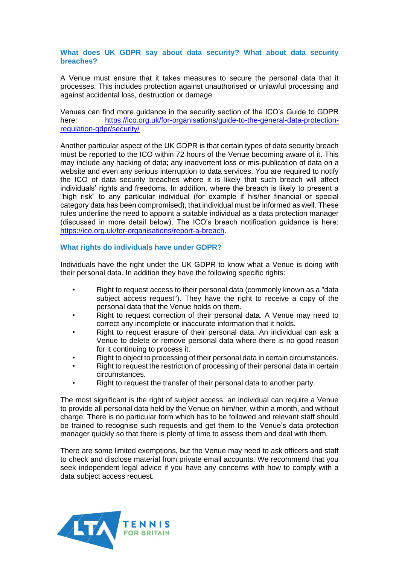## **What does UK GDPR say about data security? What about data security breaches?**

A Venue must ensure that it takes measures to secure the personal data that it processes. This includes protection against unauthorised or unlawful processing and against accidental loss, destruction or damage.

Venues can find more guidance in the security section of the ICO's Guide to GDPR here: [https://ico.org.uk/for-organisations/guide-to-the-general-data-protection](https://ico.org.uk/for-organisations/guide-to-the-general-data-protection-regulation-gdpr/security/)[regulation-gdpr/security/](https://ico.org.uk/for-organisations/guide-to-the-general-data-protection-regulation-gdpr/security/) 

Another particular aspect of the UK GDPR is that certain types of data security breach must be reported to the ICO within 72 hours of the Venue becoming aware of it. This may include any hacking of data; any inadvertent loss or mis-publication of data on a website and even any serious interruption to data services. You are required to notify the ICO of data security breaches where it is likely that such breach will affect individuals' rights and freedoms. In addition, where the breach is likely to present a "high risk" to any particular individual (for example if his/her financial or special category data has been compromised), that individual must be informed as well. These rules underline the need to appoint a suitable individual as a data protection manager (discussed in more detail below). The ICO's breach notification guidance is here: [https://ico.org.uk/for-organisations/report-a-breach.](https://ico.org.uk/for-organisations/report-a-breach)

## **What rights do individuals have under GDPR?**

Individuals have the right under the UK GDPR to know what a Venue is doing with their personal data. In addition they have the following specific rights:

- Right to request access to their personal data (commonly known as a "data subject access request"). They have the right to receive a copy of the personal data that the Venue holds on them.
- Right to request correction of their personal data. A Venue may need to correct any incomplete or inaccurate information that it holds.
- Right to request erasure of their personal data. An individual can ask a Venue to delete or remove personal data where there is no good reason for it continuing to process it.
- Right to object to processing of their personal data in certain circumstances.
- Right to request the restriction of processing of their personal data in certain circumstances.
- Right to request the transfer of their personal data to another party.

The most significant is the right of subject access: an individual can require a Venue to provide all personal data held by the Venue on him/her, within a month, and without charge. There is no particular form which has to be followed and relevant staff should be trained to recognise such requests and get them to the Venue's data protection manager quickly so that there is plenty of time to assess them and deal with them.

There are some limited exemptions, but the Venue may need to ask officers and staff to check and disclose material from private email accounts. We recommend that you seek independent legal advice if you have any concerns with how to comply with a data subject access request.

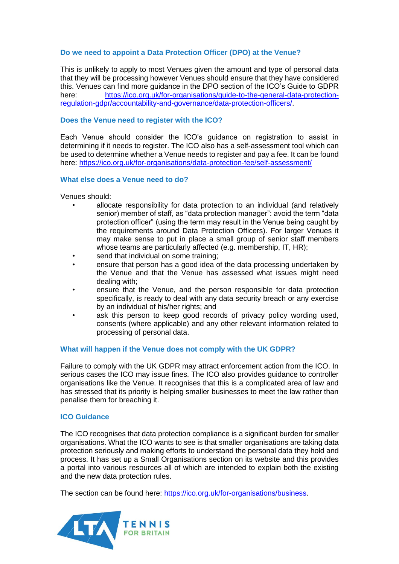## **Do we need to appoint a Data Protection Officer (DPO) at the Venue?**

This is unlikely to apply to most Venues given the amount and type of personal data that they will be processing however Venues should ensure that they have considered this. Venues can find more guidance in the DPO section of the ICO's Guide to GDPR<br>here: https://ico.org.uk/for-organisations/guide-to-the-general-data-protection[https://ico.org.uk/for-organisations/guide-to-the-general-data-protection](https://ico.org.uk/for-organisations/guide-to-the-general-data-protection-regulation-gdpr/accountability-and-governance/data-protection-officers/)[regulation-gdpr/accountability-and-governance/data-protection-officers/.](https://ico.org.uk/for-organisations/guide-to-the-general-data-protection-regulation-gdpr/accountability-and-governance/data-protection-officers/)

## **Does the Venue need to register with the ICO?**

Each Venue should consider the ICO's guidance on registration to assist in determining if it needs to register. The ICO also has a self-assessment tool which can be used to determine whether a Venue needs to register and pay a fee. It can be found here:<https://ico.org.uk/for-organisations/data-protection-fee/self-assessment/>

## **What else does a Venue need to do?**

Venues should:

- allocate responsibility for data protection to an individual (and relatively senior) member of staff, as "data protection manager": avoid the term "data protection officer" (using the term may result in the Venue being caught by the requirements around Data Protection Officers). For larger Venues it may make sense to put in place a small group of senior staff members whose teams are particularly affected (e.g. membership, IT, HR);
- send that individual on some training;
- ensure that person has a good idea of the data processing undertaken by the Venue and that the Venue has assessed what issues might need dealing with;
- ensure that the Venue, and the person responsible for data protection specifically, is ready to deal with any data security breach or any exercise by an individual of his/her rights; and
- ask this person to keep good records of privacy policy wording used, consents (where applicable) and any other relevant information related to processing of personal data.

## **What will happen if the Venue does not comply with the UK GDPR?**

Failure to comply with the UK GDPR may attract enforcement action from the ICO. In serious cases the ICO may issue fines. The ICO also provides guidance to controller organisations like the Venue. It recognises that this is a complicated area of law and has stressed that its priority is helping smaller businesses to meet the law rather than penalise them for breaching it.

#### **ICO Guidance**

The ICO recognises that data protection compliance is a significant burden for smaller organisations. What the ICO wants to see is that smaller organisations are taking data protection seriously and making efforts to understand the personal data they hold and process. It has set up a Small Organisations section on its website and this provides a portal into various resources all of which are intended to explain both the existing and the new data protection rules.

The section can be found here: [https://ico.org.uk/for-organisations/business.](https://ico.org.uk/for-organisations/business)